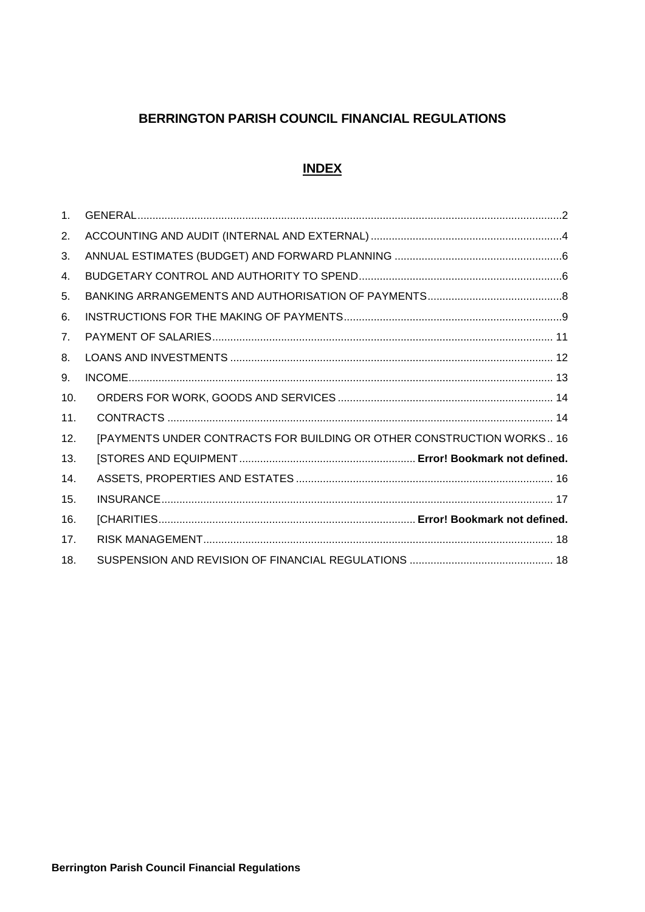# BERRINGTON PARISH COUNCIL FINANCIAL REGULATIONS

#### **INDEX**

| 1 <sub>1</sub> |                                                                       |
|----------------|-----------------------------------------------------------------------|
| 2.             |                                                                       |
| 3.             |                                                                       |
| 4.             |                                                                       |
| 5.             |                                                                       |
| 6.             |                                                                       |
| 7 <sub>1</sub> |                                                                       |
| 8.             |                                                                       |
| 9.             |                                                                       |
| 10.            |                                                                       |
| 11.            |                                                                       |
| 12.            | [PAYMENTS UNDER CONTRACTS FOR BUILDING OR OTHER CONSTRUCTION WORKS 16 |
| 13.            |                                                                       |
| 14.            |                                                                       |
| 15.            |                                                                       |
| 16.            |                                                                       |
| 17.            |                                                                       |
| 18.            |                                                                       |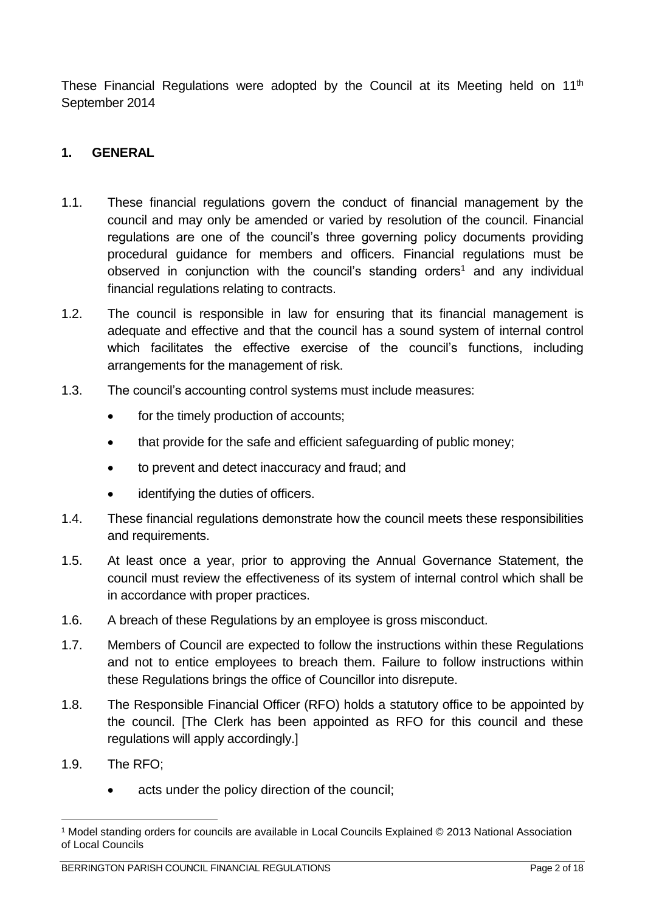These Financial Regulations were adopted by the Council at its Meeting held on 11<sup>th</sup> September 2014

#### <span id="page-1-0"></span>**1. GENERAL**

- 1.1. These financial regulations govern the conduct of financial management by the council and may only be amended or varied by resolution of the council. Financial regulations are one of the council's three governing policy documents providing procedural guidance for members and officers. Financial regulations must be observed in conjunction with the council's standing orders<sup>1</sup> and any individual financial regulations relating to contracts.
- 1.2. The council is responsible in law for ensuring that its financial management is adequate and effective and that the council has a sound system of internal control which facilitates the effective exercise of the council's functions, including arrangements for the management of risk.
- 1.3. The council's accounting control systems must include measures:
	- for the timely production of accounts;
	- that provide for the safe and efficient safeguarding of public money;
	- to prevent and detect inaccuracy and fraud; and
	- identifying the duties of officers.
- 1.4. These financial regulations demonstrate how the council meets these responsibilities and requirements.
- 1.5. At least once a year, prior to approving the Annual Governance Statement, the council must review the effectiveness of its system of internal control which shall be in accordance with proper practices.
- 1.6. A breach of these Regulations by an employee is gross misconduct.
- 1.7. Members of Council are expected to follow the instructions within these Regulations and not to entice employees to breach them. Failure to follow instructions within these Regulations brings the office of Councillor into disrepute.
- 1.8. The Responsible Financial Officer (RFO) holds a statutory office to be appointed by the council. [The Clerk has been appointed as RFO for this council and these regulations will apply accordingly.]
- 1.9. The RFO;
	- acts under the policy direction of the council;

<sup>&</sup>lt;u>.</u> <sup>1</sup> Model standing orders for councils are available in Local Councils Explained © 2013 National Association of Local Councils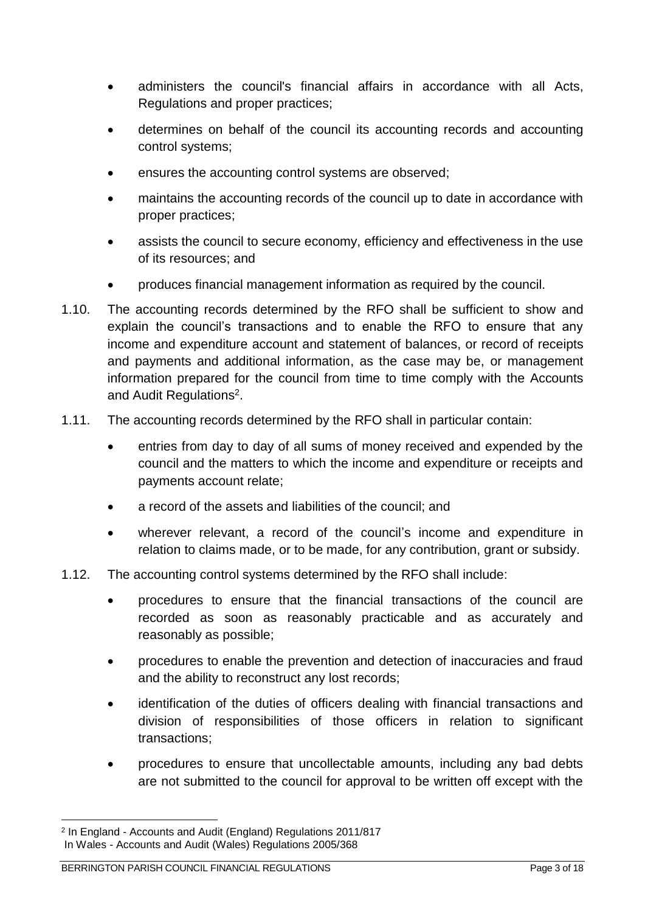- administers the council's financial affairs in accordance with all Acts, Regulations and proper practices;
- determines on behalf of the council its accounting records and accounting control systems;
- ensures the accounting control systems are observed;
- maintains the accounting records of the council up to date in accordance with proper practices;
- assists the council to secure economy, efficiency and effectiveness in the use of its resources; and
- produces financial management information as required by the council.
- 1.10. The accounting records determined by the RFO shall be sufficient to show and explain the council's transactions and to enable the RFO to ensure that any income and expenditure account and statement of balances, or record of receipts and payments and additional information, as the case may be, or management information prepared for the council from time to time comply with the Accounts and Audit Regulations<sup>2</sup>.
- 1.11. The accounting records determined by the RFO shall in particular contain:
	- entries from day to day of all sums of money received and expended by the council and the matters to which the income and expenditure or receipts and payments account relate;
	- a record of the assets and liabilities of the council; and
	- wherever relevant, a record of the council's income and expenditure in relation to claims made, or to be made, for any contribution, grant or subsidy.
- 1.12. The accounting control systems determined by the RFO shall include:
	- procedures to ensure that the financial transactions of the council are recorded as soon as reasonably practicable and as accurately and reasonably as possible;
	- procedures to enable the prevention and detection of inaccuracies and fraud and the ability to reconstruct any lost records;
	- identification of the duties of officers dealing with financial transactions and division of responsibilities of those officers in relation to significant transactions;
	- procedures to ensure that uncollectable amounts, including any bad debts are not submitted to the council for approval to be written off except with the

<u>.</u>

<sup>2</sup> In England - Accounts and Audit (England) Regulations 2011/817 In Wales - Accounts and Audit (Wales) Regulations 2005/368

BERRINGTON PARISH COUNCIL FINANCIAL REGULATIONS Page 3 of 18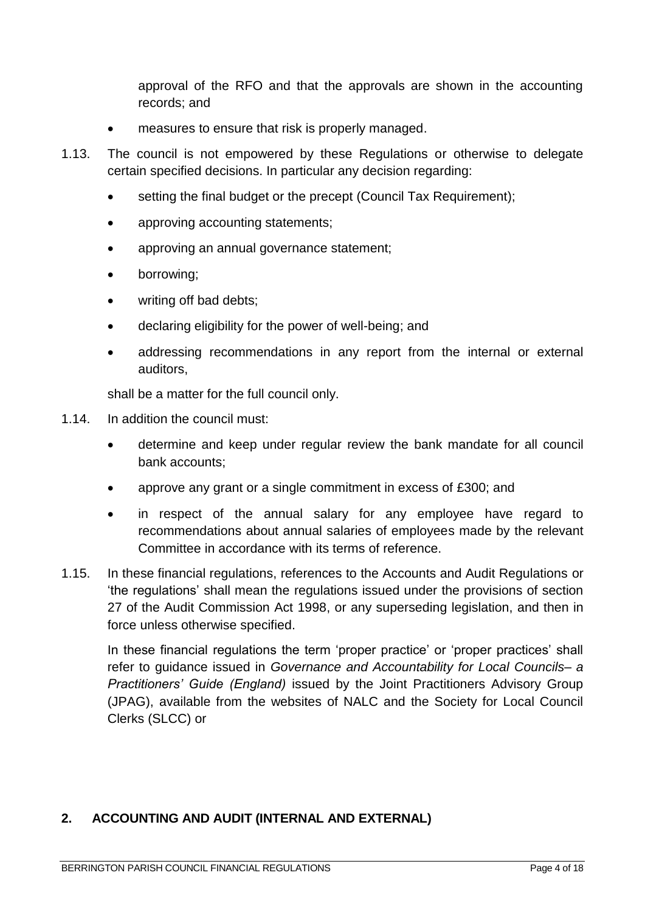approval of the RFO and that the approvals are shown in the accounting records; and

- measures to ensure that risk is properly managed.
- 1.13. The council is not empowered by these Regulations or otherwise to delegate certain specified decisions. In particular any decision regarding:
	- setting the final budget or the precept (Council Tax Requirement);
	- approving accounting statements;
	- approving an annual governance statement;
	- borrowing;
	- writing off bad debts;
	- declaring eligibility for the power of well-being; and
	- addressing recommendations in any report from the internal or external auditors,

shall be a matter for the full council only.

- 1.14. In addition the council must:
	- determine and keep under regular review the bank mandate for all council bank accounts;
	- approve any grant or a single commitment in excess of £300; and
	- in respect of the annual salary for any employee have regard to recommendations about annual salaries of employees made by the relevant Committee in accordance with its terms of reference.
- 1.15. In these financial regulations, references to the Accounts and Audit Regulations or 'the regulations' shall mean the regulations issued under the provisions of section 27 of the Audit Commission Act 1998, or any superseding legislation, and then in force unless otherwise specified.

In these financial regulations the term 'proper practice' or 'proper practices' shall refer to guidance issued in *Governance and Accountability for Local Councils– a Practitioners' Guide (England)* issued by the Joint Practitioners Advisory Group (JPAG), available from the websites of NALC and the Society for Local Council Clerks (SLCC) or

#### <span id="page-3-0"></span>**2. ACCOUNTING AND AUDIT (INTERNAL AND EXTERNAL)**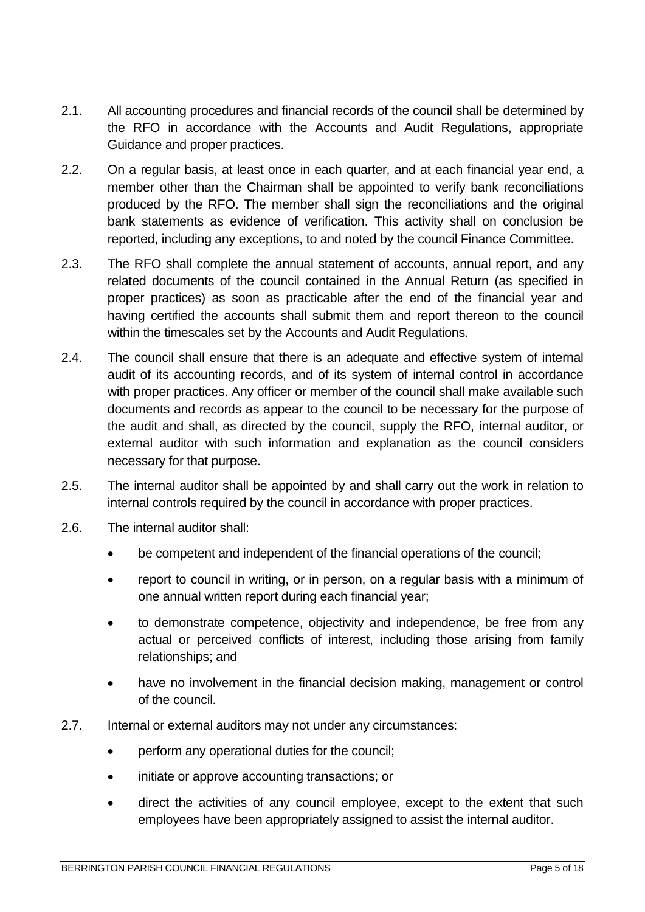- 2.1. All accounting procedures and financial records of the council shall be determined by the RFO in accordance with the Accounts and Audit Regulations, appropriate Guidance and proper practices.
- 2.2. On a regular basis, at least once in each quarter, and at each financial year end, a member other than the Chairman shall be appointed to verify bank reconciliations produced by the RFO. The member shall sign the reconciliations and the original bank statements as evidence of verification. This activity shall on conclusion be reported, including any exceptions, to and noted by the council Finance Committee.
- 2.3. The RFO shall complete the annual statement of accounts, annual report, and any related documents of the council contained in the Annual Return (as specified in proper practices) as soon as practicable after the end of the financial year and having certified the accounts shall submit them and report thereon to the council within the timescales set by the Accounts and Audit Regulations.
- 2.4. The council shall ensure that there is an adequate and effective system of internal audit of its accounting records, and of its system of internal control in accordance with proper practices. Any officer or member of the council shall make available such documents and records as appear to the council to be necessary for the purpose of the audit and shall, as directed by the council, supply the RFO, internal auditor, or external auditor with such information and explanation as the council considers necessary for that purpose.
- 2.5. The internal auditor shall be appointed by and shall carry out the work in relation to internal controls required by the council in accordance with proper practices.
- 2.6. The internal auditor shall:
	- be competent and independent of the financial operations of the council;
	- report to council in writing, or in person, on a regular basis with a minimum of one annual written report during each financial year;
	- to demonstrate competence, objectivity and independence, be free from any actual or perceived conflicts of interest, including those arising from family relationships; and
	- have no involvement in the financial decision making, management or control of the council.
- 2.7. Internal or external auditors may not under any circumstances:
	- perform any operational duties for the council;
	- initiate or approve accounting transactions; or
	- direct the activities of any council employee, except to the extent that such employees have been appropriately assigned to assist the internal auditor.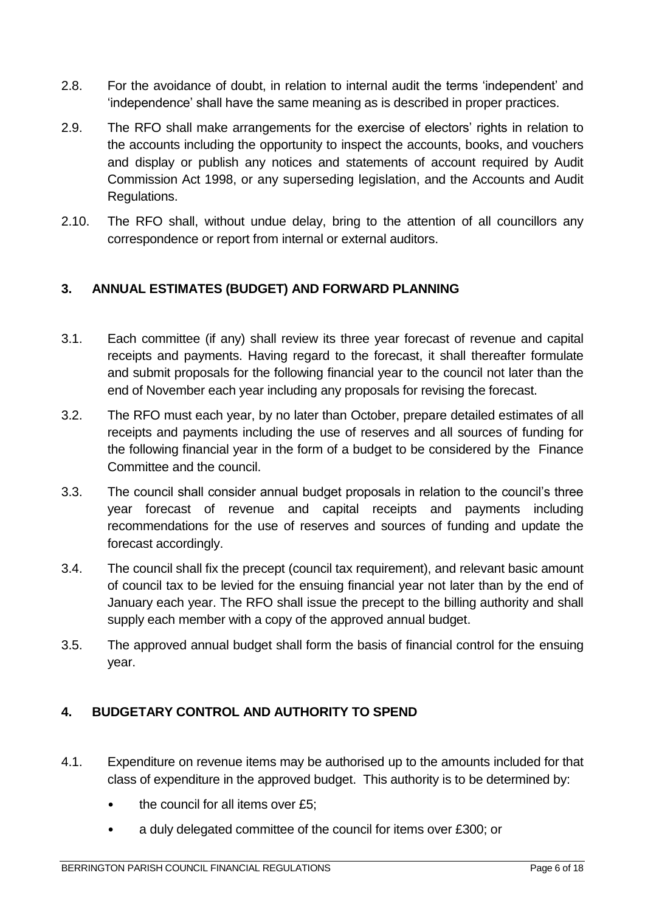- 2.8. For the avoidance of doubt, in relation to internal audit the terms 'independent' and 'independence' shall have the same meaning as is described in proper practices.
- 2.9. The RFO shall make arrangements for the exercise of electors' rights in relation to the accounts including the opportunity to inspect the accounts, books, and vouchers and display or publish any notices and statements of account required by Audit Commission Act 1998, or any superseding legislation, and the Accounts and Audit Regulations.
- 2.10. The RFO shall, without undue delay, bring to the attention of all councillors any correspondence or report from internal or external auditors.

## <span id="page-5-0"></span>**3. ANNUAL ESTIMATES (BUDGET) AND FORWARD PLANNING**

- 3.1. Each committee (if any) shall review its three year forecast of revenue and capital receipts and payments. Having regard to the forecast, it shall thereafter formulate and submit proposals for the following financial year to the council not later than the end of November each year including any proposals for revising the forecast.
- 3.2. The RFO must each year, by no later than October, prepare detailed estimates of all receipts and payments including the use of reserves and all sources of funding for the following financial year in the form of a budget to be considered by the Finance Committee and the council.
- 3.3. The council shall consider annual budget proposals in relation to the council's three year forecast of revenue and capital receipts and payments including recommendations for the use of reserves and sources of funding and update the forecast accordingly.
- 3.4. The council shall fix the precept (council tax requirement), and relevant basic amount of council tax to be levied for the ensuing financial year not later than by the end of January each year. The RFO shall issue the precept to the billing authority and shall supply each member with a copy of the approved annual budget.
- 3.5. The approved annual budget shall form the basis of financial control for the ensuing year.

# <span id="page-5-1"></span>**4. BUDGETARY CONTROL AND AUTHORITY TO SPEND**

- 4.1. Expenditure on revenue items may be authorised up to the amounts included for that class of expenditure in the approved budget. This authority is to be determined by:
	- the council for all items over £5;
	- a duly delegated committee of the council for items over £300; or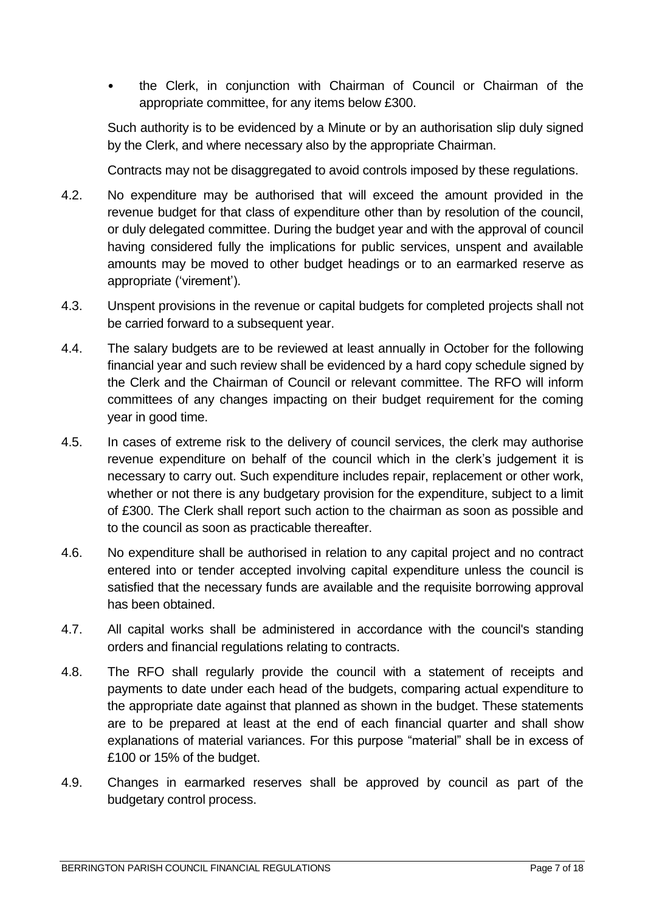• the Clerk, in conjunction with Chairman of Council or Chairman of the appropriate committee, for any items below £300.

Such authority is to be evidenced by a Minute or by an authorisation slip duly signed by the Clerk, and where necessary also by the appropriate Chairman.

Contracts may not be disaggregated to avoid controls imposed by these regulations.

- 4.2. No expenditure may be authorised that will exceed the amount provided in the revenue budget for that class of expenditure other than by resolution of the council, or duly delegated committee. During the budget year and with the approval of council having considered fully the implications for public services, unspent and available amounts may be moved to other budget headings or to an earmarked reserve as appropriate ('virement').
- 4.3. Unspent provisions in the revenue or capital budgets for completed projects shall not be carried forward to a subsequent year.
- 4.4. The salary budgets are to be reviewed at least annually in October for the following financial year and such review shall be evidenced by a hard copy schedule signed by the Clerk and the Chairman of Council or relevant committee. The RFO will inform committees of any changes impacting on their budget requirement for the coming year in good time.
- 4.5. In cases of extreme risk to the delivery of council services, the clerk may authorise revenue expenditure on behalf of the council which in the clerk's judgement it is necessary to carry out. Such expenditure includes repair, replacement or other work, whether or not there is any budgetary provision for the expenditure, subject to a limit of £300. The Clerk shall report such action to the chairman as soon as possible and to the council as soon as practicable thereafter.
- 4.6. No expenditure shall be authorised in relation to any capital project and no contract entered into or tender accepted involving capital expenditure unless the council is satisfied that the necessary funds are available and the requisite borrowing approval has been obtained.
- 4.7. All capital works shall be administered in accordance with the council's standing orders and financial regulations relating to contracts.
- 4.8. The RFO shall regularly provide the council with a statement of receipts and payments to date under each head of the budgets, comparing actual expenditure to the appropriate date against that planned as shown in the budget. These statements are to be prepared at least at the end of each financial quarter and shall show explanations of material variances. For this purpose "material" shall be in excess of £100 or 15% of the budget.
- 4.9. Changes in earmarked reserves shall be approved by council as part of the budgetary control process.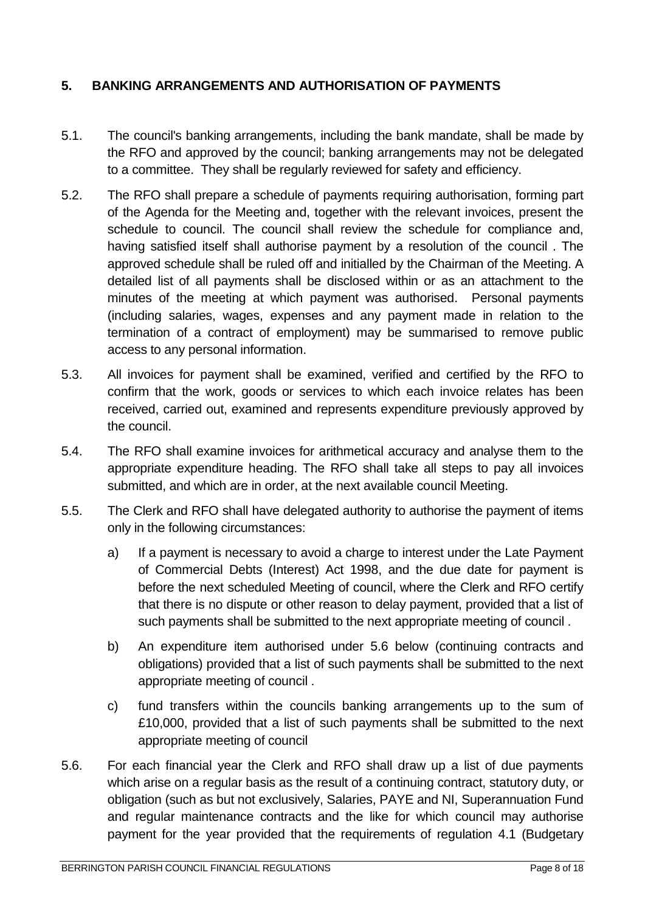## <span id="page-7-0"></span>**5. BANKING ARRANGEMENTS AND AUTHORISATION OF PAYMENTS**

- 5.1. The council's banking arrangements, including the bank mandate, shall be made by the RFO and approved by the council; banking arrangements may not be delegated to a committee. They shall be regularly reviewed for safety and efficiency.
- 5.2. The RFO shall prepare a schedule of payments requiring authorisation, forming part of the Agenda for the Meeting and, together with the relevant invoices, present the schedule to council. The council shall review the schedule for compliance and, having satisfied itself shall authorise payment by a resolution of the council . The approved schedule shall be ruled off and initialled by the Chairman of the Meeting. A detailed list of all payments shall be disclosed within or as an attachment to the minutes of the meeting at which payment was authorised. Personal payments (including salaries, wages, expenses and any payment made in relation to the termination of a contract of employment) may be summarised to remove public access to any personal information.
- 5.3. All invoices for payment shall be examined, verified and certified by the RFO to confirm that the work, goods or services to which each invoice relates has been received, carried out, examined and represents expenditure previously approved by the council.
- 5.4. The RFO shall examine invoices for arithmetical accuracy and analyse them to the appropriate expenditure heading. The RFO shall take all steps to pay all invoices submitted, and which are in order, at the next available council Meeting.
- 5.5. The Clerk and RFO shall have delegated authority to authorise the payment of items only in the following circumstances:
	- a) If a payment is necessary to avoid a charge to interest under the Late Payment of Commercial Debts (Interest) Act 1998, and the due date for payment is before the next scheduled Meeting of council, where the Clerk and RFO certify that there is no dispute or other reason to delay payment, provided that a list of such payments shall be submitted to the next appropriate meeting of council .
	- b) An expenditure item authorised under 5.6 below (continuing contracts and obligations) provided that a list of such payments shall be submitted to the next appropriate meeting of council .
	- c) fund transfers within the councils banking arrangements up to the sum of £10,000, provided that a list of such payments shall be submitted to the next appropriate meeting of council
- 5.6. For each financial year the Clerk and RFO shall draw up a list of due payments which arise on a regular basis as the result of a continuing contract, statutory duty, or obligation (such as but not exclusively, Salaries, PAYE and NI, Superannuation Fund and regular maintenance contracts and the like for which council may authorise payment for the year provided that the requirements of regulation 4.1 (Budgetary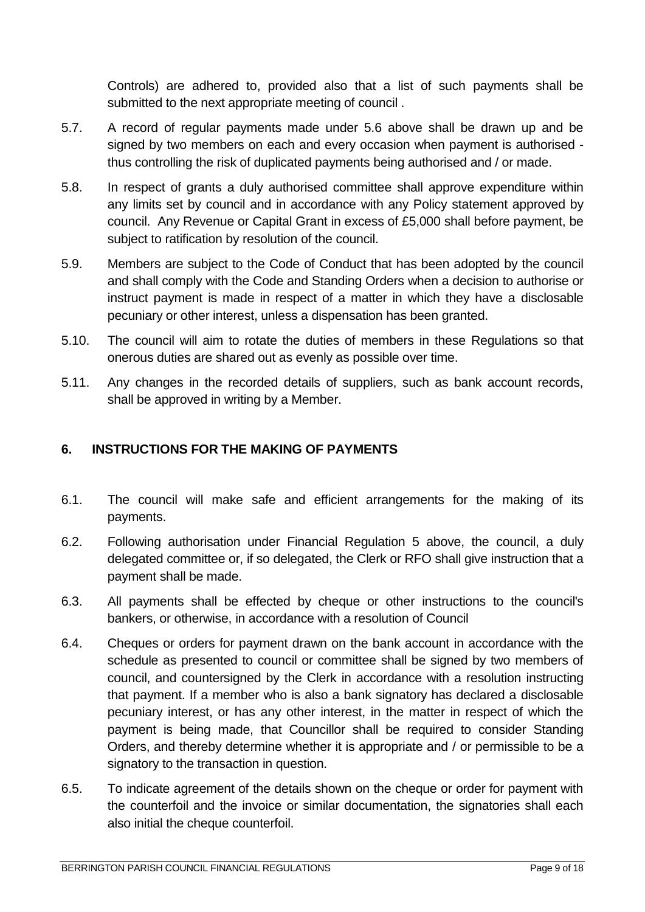Controls) are adhered to, provided also that a list of such payments shall be submitted to the next appropriate meeting of council .

- 5.7. A record of regular payments made under 5.6 above shall be drawn up and be signed by two members on each and every occasion when payment is authorised thus controlling the risk of duplicated payments being authorised and / or made.
- 5.8. In respect of grants a duly authorised committee shall approve expenditure within any limits set by council and in accordance with any Policy statement approved by council. Any Revenue or Capital Grant in excess of £5,000 shall before payment, be subject to ratification by resolution of the council.
- 5.9. Members are subject to the Code of Conduct that has been adopted by the council and shall comply with the Code and Standing Orders when a decision to authorise or instruct payment is made in respect of a matter in which they have a disclosable pecuniary or other interest, unless a dispensation has been granted.
- 5.10. The council will aim to rotate the duties of members in these Regulations so that onerous duties are shared out as evenly as possible over time.
- 5.11. Any changes in the recorded details of suppliers, such as bank account records, shall be approved in writing by a Member.

#### <span id="page-8-0"></span>**6. INSTRUCTIONS FOR THE MAKING OF PAYMENTS**

- 6.1. The council will make safe and efficient arrangements for the making of its payments.
- 6.2. Following authorisation under Financial Regulation 5 above, the council, a duly delegated committee or, if so delegated, the Clerk or RFO shall give instruction that a payment shall be made.
- 6.3. All payments shall be effected by cheque or other instructions to the council's bankers, or otherwise, in accordance with a resolution of Council
- 6.4. Cheques or orders for payment drawn on the bank account in accordance with the schedule as presented to council or committee shall be signed by two members of council, and countersigned by the Clerk in accordance with a resolution instructing that payment. If a member who is also a bank signatory has declared a disclosable pecuniary interest, or has any other interest, in the matter in respect of which the payment is being made, that Councillor shall be required to consider Standing Orders, and thereby determine whether it is appropriate and / or permissible to be a signatory to the transaction in question.
- 6.5. To indicate agreement of the details shown on the cheque or order for payment with the counterfoil and the invoice or similar documentation, the signatories shall each also initial the cheque counterfoil.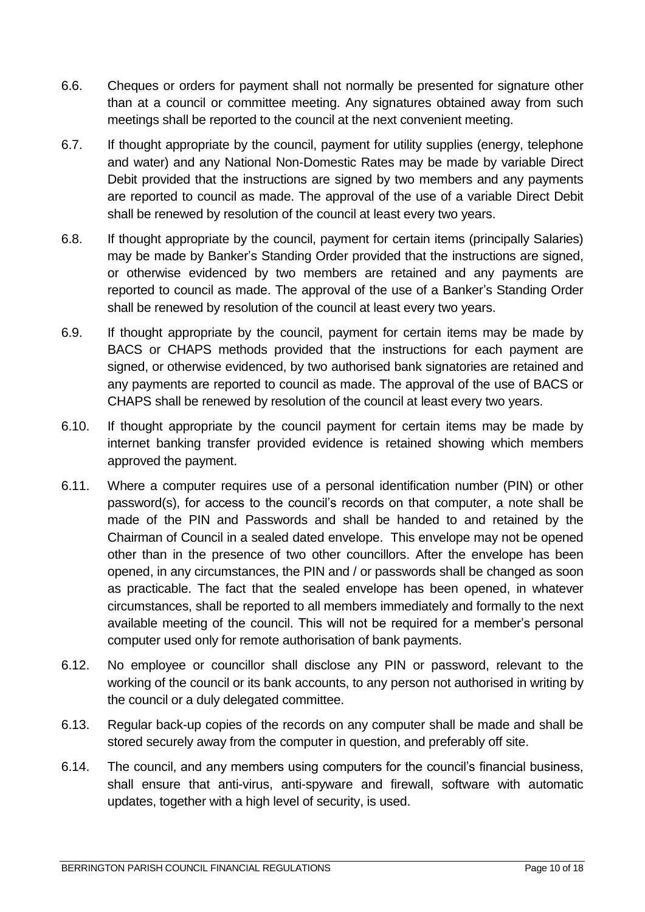- 6.6. Cheques or orders for payment shall not normally be presented for signature other than at a council or committee meeting. Any signatures obtained away from such meetings shall be reported to the council at the next convenient meeting.
- 6.7. If thought appropriate by the council, payment for utility supplies (energy, telephone and water) and any National Non-Domestic Rates may be made by variable Direct Debit provided that the instructions are signed by two members and any payments are reported to council as made. The approval of the use of a variable Direct Debit shall be renewed by resolution of the council at least every two years.
- 6.8. If thought appropriate by the council, payment for certain items (principally Salaries) may be made by Banker's Standing Order provided that the instructions are signed, or otherwise evidenced by two members are retained and any payments are reported to council as made. The approval of the use of a Banker's Standing Order shall be renewed by resolution of the council at least every two years.
- 6.9. If thought appropriate by the council, payment for certain items may be made by BACS or CHAPS methods provided that the instructions for each payment are signed, or otherwise evidenced, by two authorised bank signatories are retained and any payments are reported to council as made. The approval of the use of BACS or CHAPS shall be renewed by resolution of the council at least every two years.
- 6.10. If thought appropriate by the council payment for certain items may be made by internet banking transfer provided evidence is retained showing which members approved the payment.
- 6.11. Where a computer requires use of a personal identification number (PIN) or other password(s), for access to the council's records on that computer, a note shall be made of the PIN and Passwords and shall be handed to and retained by the Chairman of Council in a sealed dated envelope. This envelope may not be opened other than in the presence of two other councillors. After the envelope has been opened, in any circumstances, the PIN and / or passwords shall be changed as soon as practicable. The fact that the sealed envelope has been opened, in whatever circumstances, shall be reported to all members immediately and formally to the next available meeting of the council. This will not be required for a member's personal computer used only for remote authorisation of bank payments.
- 6.12. No employee or councillor shall disclose any PIN or password, relevant to the working of the council or its bank accounts, to any person not authorised in writing by the council or a duly delegated committee.
- 6.13. Regular back-up copies of the records on any computer shall be made and shall be stored securely away from the computer in question, and preferably off site.
- 6.14. The council, and any members using computers for the council's financial business, shall ensure that anti-virus, anti-spyware and firewall, software with automatic updates, together with a high level of security, is used.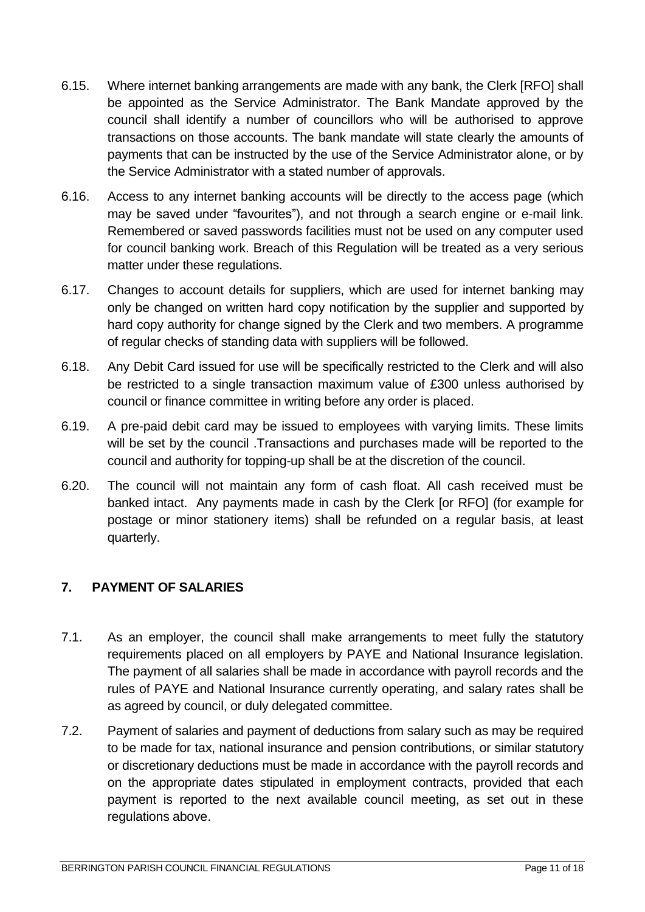- 6.15. Where internet banking arrangements are made with any bank, the Clerk [RFO] shall be appointed as the Service Administrator. The Bank Mandate approved by the council shall identify a number of councillors who will be authorised to approve transactions on those accounts. The bank mandate will state clearly the amounts of payments that can be instructed by the use of the Service Administrator alone, or by the Service Administrator with a stated number of approvals.
- 6.16. Access to any internet banking accounts will be directly to the access page (which may be saved under "favourites"), and not through a search engine or e-mail link. Remembered or saved passwords facilities must not be used on any computer used for council banking work. Breach of this Regulation will be treated as a very serious matter under these regulations.
- 6.17. Changes to account details for suppliers, which are used for internet banking may only be changed on written hard copy notification by the supplier and supported by hard copy authority for change signed by the Clerk and two members. A programme of regular checks of standing data with suppliers will be followed.
- 6.18. Any Debit Card issued for use will be specifically restricted to the Clerk and will also be restricted to a single transaction maximum value of £300 unless authorised by council or finance committee in writing before any order is placed.
- 6.19. A pre-paid debit card may be issued to employees with varying limits. These limits will be set by the council .Transactions and purchases made will be reported to the council and authority for topping-up shall be at the discretion of the council.
- 6.20. The council will not maintain any form of cash float. All cash received must be banked intact. Any payments made in cash by the Clerk [or RFO] (for example for postage or minor stationery items) shall be refunded on a regular basis, at least quarterly.

# <span id="page-10-0"></span>**7. PAYMENT OF SALARIES**

- 7.1. As an employer, the council shall make arrangements to meet fully the statutory requirements placed on all employers by PAYE and National Insurance legislation. The payment of all salaries shall be made in accordance with payroll records and the rules of PAYE and National Insurance currently operating, and salary rates shall be as agreed by council, or duly delegated committee.
- 7.2. Payment of salaries and payment of deductions from salary such as may be required to be made for tax, national insurance and pension contributions, or similar statutory or discretionary deductions must be made in accordance with the payroll records and on the appropriate dates stipulated in employment contracts, provided that each payment is reported to the next available council meeting, as set out in these regulations above.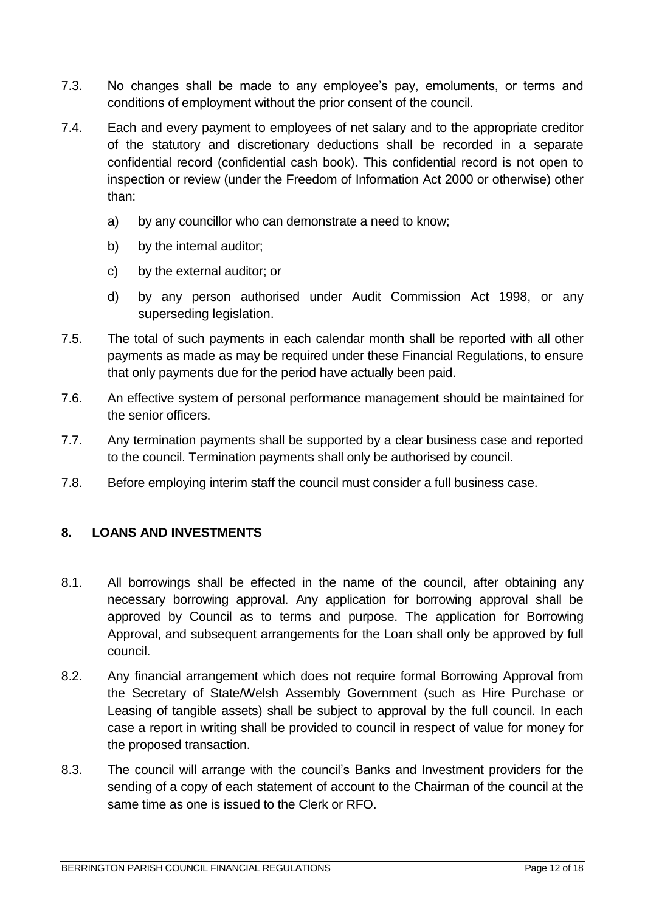- 7.3. No changes shall be made to any employee's pay, emoluments, or terms and conditions of employment without the prior consent of the council.
- 7.4. Each and every payment to employees of net salary and to the appropriate creditor of the statutory and discretionary deductions shall be recorded in a separate confidential record (confidential cash book). This confidential record is not open to inspection or review (under the Freedom of Information Act 2000 or otherwise) other than:
	- a) by any councillor who can demonstrate a need to know;
	- b) by the internal auditor;
	- c) by the external auditor; or
	- d) by any person authorised under Audit Commission Act 1998, or any superseding legislation.
- 7.5. The total of such payments in each calendar month shall be reported with all other payments as made as may be required under these Financial Regulations, to ensure that only payments due for the period have actually been paid.
- 7.6. An effective system of personal performance management should be maintained for the senior officers.
- 7.7. Any termination payments shall be supported by a clear business case and reported to the council. Termination payments shall only be authorised by council.
- 7.8. Before employing interim staff the council must consider a full business case.

#### <span id="page-11-0"></span>**8. LOANS AND INVESTMENTS**

- 8.1. All borrowings shall be effected in the name of the council, after obtaining any necessary borrowing approval. Any application for borrowing approval shall be approved by Council as to terms and purpose. The application for Borrowing Approval, and subsequent arrangements for the Loan shall only be approved by full council.
- 8.2. Any financial arrangement which does not require formal Borrowing Approval from the Secretary of State/Welsh Assembly Government (such as Hire Purchase or Leasing of tangible assets) shall be subject to approval by the full council. In each case a report in writing shall be provided to council in respect of value for money for the proposed transaction.
- 8.3. The council will arrange with the council's Banks and Investment providers for the sending of a copy of each statement of account to the Chairman of the council at the same time as one is issued to the Clerk or RFO.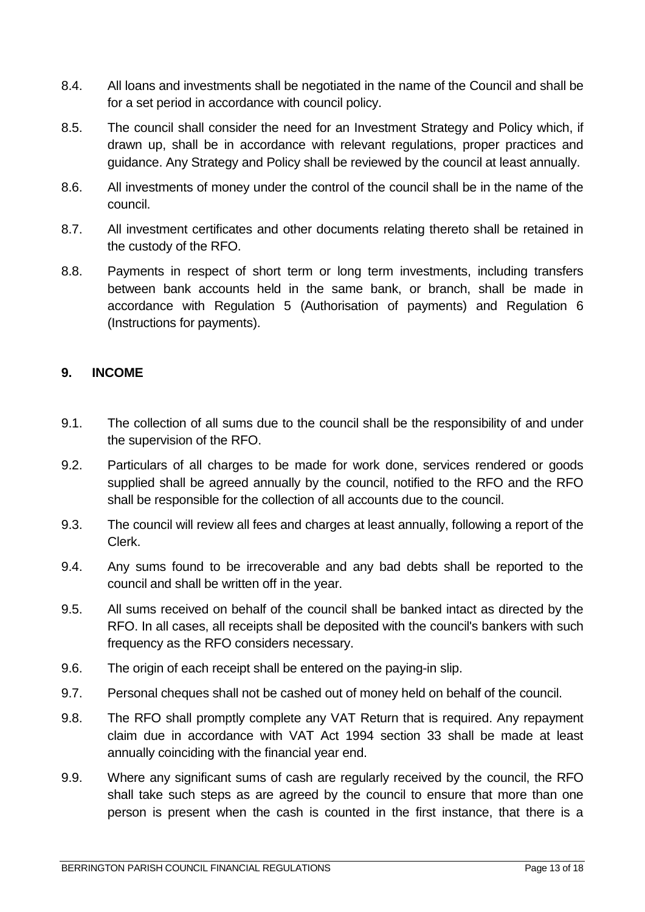- 8.4. All loans and investments shall be negotiated in the name of the Council and shall be for a set period in accordance with council policy.
- 8.5. The council shall consider the need for an Investment Strategy and Policy which, if drawn up, shall be in accordance with relevant regulations, proper practices and guidance. Any Strategy and Policy shall be reviewed by the council at least annually.
- 8.6. All investments of money under the control of the council shall be in the name of the council.
- 8.7. All investment certificates and other documents relating thereto shall be retained in the custody of the RFO.
- 8.8. Payments in respect of short term or long term investments, including transfers between bank accounts held in the same bank, or branch, shall be made in accordance with Regulation 5 (Authorisation of payments) and Regulation 6 (Instructions for payments).

## <span id="page-12-0"></span>**9. INCOME**

- 9.1. The collection of all sums due to the council shall be the responsibility of and under the supervision of the RFO.
- 9.2. Particulars of all charges to be made for work done, services rendered or goods supplied shall be agreed annually by the council, notified to the RFO and the RFO shall be responsible for the collection of all accounts due to the council.
- 9.3. The council will review all fees and charges at least annually, following a report of the Clerk.
- 9.4. Any sums found to be irrecoverable and any bad debts shall be reported to the council and shall be written off in the year.
- 9.5. All sums received on behalf of the council shall be banked intact as directed by the RFO. In all cases, all receipts shall be deposited with the council's bankers with such frequency as the RFO considers necessary.
- 9.6. The origin of each receipt shall be entered on the paying-in slip.
- 9.7. Personal cheques shall not be cashed out of money held on behalf of the council.
- 9.8. The RFO shall promptly complete any VAT Return that is required. Any repayment claim due in accordance with VAT Act 1994 section 33 shall be made at least annually coinciding with the financial year end.
- 9.9. Where any significant sums of cash are regularly received by the council, the RFO shall take such steps as are agreed by the council to ensure that more than one person is present when the cash is counted in the first instance, that there is a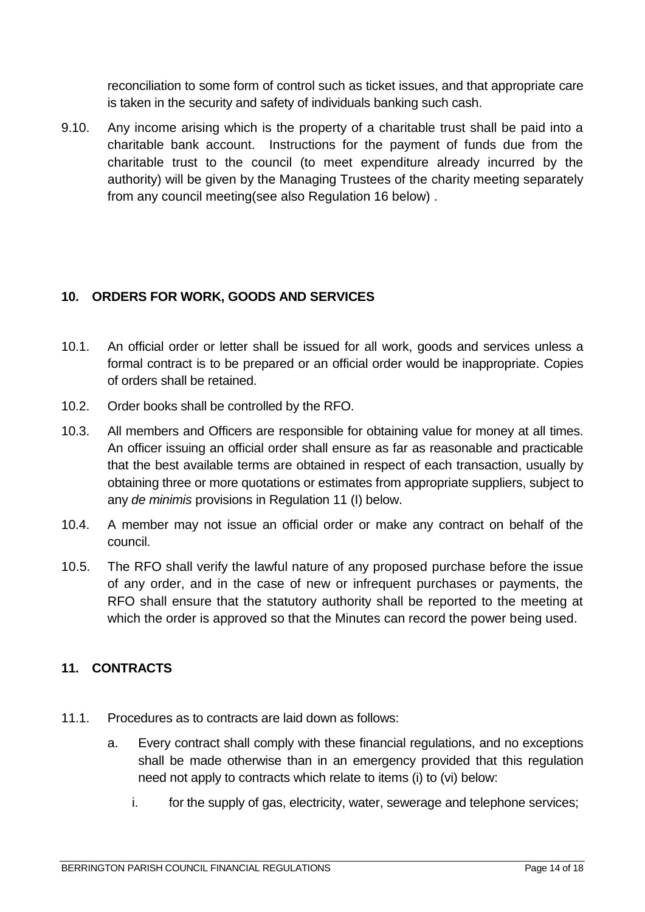reconciliation to some form of control such as ticket issues, and that appropriate care is taken in the security and safety of individuals banking such cash.

9.10. Any income arising which is the property of a charitable trust shall be paid into a charitable bank account. Instructions for the payment of funds due from the charitable trust to the council (to meet expenditure already incurred by the authority) will be given by the Managing Trustees of the charity meeting separately from any council meeting(see also Regulation 16 below) .

## <span id="page-13-0"></span>**10. ORDERS FOR WORK, GOODS AND SERVICES**

- 10.1. An official order or letter shall be issued for all work, goods and services unless a formal contract is to be prepared or an official order would be inappropriate. Copies of orders shall be retained.
- 10.2. Order books shall be controlled by the RFO.
- 10.3. All members and Officers are responsible for obtaining value for money at all times. An officer issuing an official order shall ensure as far as reasonable and practicable that the best available terms are obtained in respect of each transaction, usually by obtaining three or more quotations or estimates from appropriate suppliers, subject to any *de minimis* provisions in Regulation 11 (I) below.
- 10.4. A member may not issue an official order or make any contract on behalf of the council.
- 10.5. The RFO shall verify the lawful nature of any proposed purchase before the issue of any order, and in the case of new or infrequent purchases or payments, the RFO shall ensure that the statutory authority shall be reported to the meeting at which the order is approved so that the Minutes can record the power being used.

#### <span id="page-13-1"></span>**11. CONTRACTS**

- 11.1. Procedures as to contracts are laid down as follows:
	- a. Every contract shall comply with these financial regulations, and no exceptions shall be made otherwise than in an emergency provided that this regulation need not apply to contracts which relate to items (i) to (vi) below:
		- i. for the supply of gas, electricity, water, sewerage and telephone services;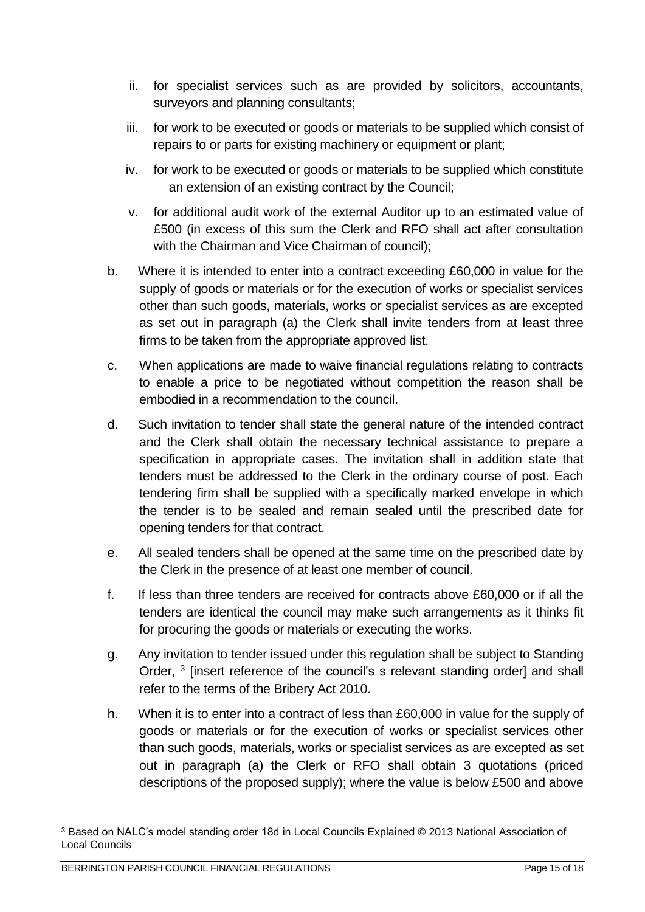- ii. for specialist services such as are provided by solicitors, accountants, surveyors and planning consultants;
- iii. for work to be executed or goods or materials to be supplied which consist of repairs to or parts for existing machinery or equipment or plant;
- iv. for work to be executed or goods or materials to be supplied which constitute an extension of an existing contract by the Council;
- v. for additional audit work of the external Auditor up to an estimated value of £500 (in excess of this sum the Clerk and RFO shall act after consultation with the Chairman and Vice Chairman of council);
- b. Where it is intended to enter into a contract exceeding £60,000 in value for the supply of goods or materials or for the execution of works or specialist services other than such goods, materials, works or specialist services as are excepted as set out in paragraph (a) the Clerk shall invite tenders from at least three firms to be taken from the appropriate approved list.
- c. When applications are made to waive financial regulations relating to contracts to enable a price to be negotiated without competition the reason shall be embodied in a recommendation to the council.
- d. Such invitation to tender shall state the general nature of the intended contract and the Clerk shall obtain the necessary technical assistance to prepare a specification in appropriate cases. The invitation shall in addition state that tenders must be addressed to the Clerk in the ordinary course of post. Each tendering firm shall be supplied with a specifically marked envelope in which the tender is to be sealed and remain sealed until the prescribed date for opening tenders for that contract.
- e. All sealed tenders shall be opened at the same time on the prescribed date by the Clerk in the presence of at least one member of council.
- f. If less than three tenders are received for contracts above £60,000 or if all the tenders are identical the council may make such arrangements as it thinks fit for procuring the goods or materials or executing the works.
- g. Any invitation to tender issued under this regulation shall be subject to Standing Order, <sup>3</sup> [insert reference of the council's s relevant standing order] and shall refer to the terms of the Bribery Act 2010.
- h. When it is to enter into a contract of less than £60,000 in value for the supply of goods or materials or for the execution of works or specialist services other than such goods, materials, works or specialist services as are excepted as set out in paragraph (a) the Clerk or RFO shall obtain 3 quotations (priced descriptions of the proposed supply); where the value is below £500 and above

<u>.</u>

<sup>3</sup> Based on NALC's model standing order 18d in Local Councils Explained © 2013 National Association of Local Councils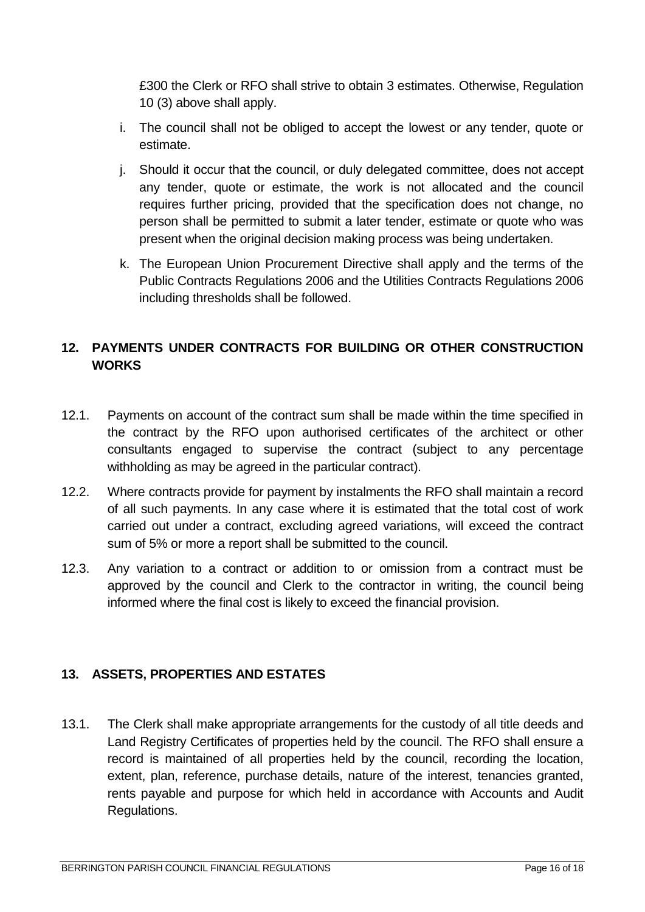£300 the Clerk or RFO shall strive to obtain 3 estimates. Otherwise, Regulation 10 (3) above shall apply.

- i. The council shall not be obliged to accept the lowest or any tender, quote or estimate.
- j. Should it occur that the council, or duly delegated committee, does not accept any tender, quote or estimate, the work is not allocated and the council requires further pricing, provided that the specification does not change, no person shall be permitted to submit a later tender, estimate or quote who was present when the original decision making process was being undertaken.
- k. The European Union Procurement Directive shall apply and the terms of the Public Contracts Regulations 2006 and the Utilities Contracts Regulations 2006 including thresholds shall be followed.

# <span id="page-15-0"></span>**12. PAYMENTS UNDER CONTRACTS FOR BUILDING OR OTHER CONSTRUCTION WORKS**

- 12.1. Payments on account of the contract sum shall be made within the time specified in the contract by the RFO upon authorised certificates of the architect or other consultants engaged to supervise the contract (subject to any percentage withholding as may be agreed in the particular contract).
- 12.2. Where contracts provide for payment by instalments the RFO shall maintain a record of all such payments. In any case where it is estimated that the total cost of work carried out under a contract, excluding agreed variations, will exceed the contract sum of 5% or more a report shall be submitted to the council.
- 12.3. Any variation to a contract or addition to or omission from a contract must be approved by the council and Clerk to the contractor in writing, the council being informed where the final cost is likely to exceed the financial provision.

# <span id="page-15-1"></span>**13. ASSETS, PROPERTIES AND ESTATES**

13.1. The Clerk shall make appropriate arrangements for the custody of all title deeds and Land Registry Certificates of properties held by the council. The RFO shall ensure a record is maintained of all properties held by the council, recording the location, extent, plan, reference, purchase details, nature of the interest, tenancies granted, rents payable and purpose for which held in accordance with Accounts and Audit Regulations.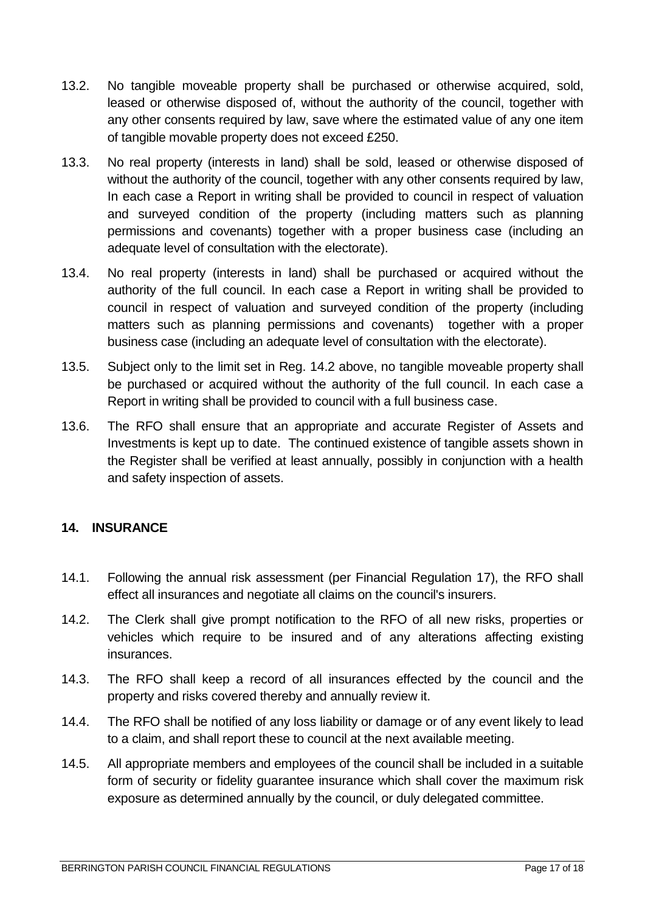- 13.2. No tangible moveable property shall be purchased or otherwise acquired, sold, leased or otherwise disposed of, without the authority of the council, together with any other consents required by law, save where the estimated value of any one item of tangible movable property does not exceed £250.
- 13.3. No real property (interests in land) shall be sold, leased or otherwise disposed of without the authority of the council, together with any other consents required by law. In each case a Report in writing shall be provided to council in respect of valuation and surveyed condition of the property (including matters such as planning permissions and covenants) together with a proper business case (including an adequate level of consultation with the electorate).
- 13.4. No real property (interests in land) shall be purchased or acquired without the authority of the full council. In each case a Report in writing shall be provided to council in respect of valuation and surveyed condition of the property (including matters such as planning permissions and covenants) together with a proper business case (including an adequate level of consultation with the electorate).
- 13.5. Subject only to the limit set in Reg. 14.2 above, no tangible moveable property shall be purchased or acquired without the authority of the full council. In each case a Report in writing shall be provided to council with a full business case.
- 13.6. The RFO shall ensure that an appropriate and accurate Register of Assets and Investments is kept up to date. The continued existence of tangible assets shown in the Register shall be verified at least annually, possibly in conjunction with a health and safety inspection of assets.

# <span id="page-16-0"></span>**14. INSURANCE**

- 14.1. Following the annual risk assessment (per Financial Regulation 17), the RFO shall effect all insurances and negotiate all claims on the council's insurers.
- 14.2. The Clerk shall give prompt notification to the RFO of all new risks, properties or vehicles which require to be insured and of any alterations affecting existing insurances.
- 14.3. The RFO shall keep a record of all insurances effected by the council and the property and risks covered thereby and annually review it.
- 14.4. The RFO shall be notified of any loss liability or damage or of any event likely to lead to a claim, and shall report these to council at the next available meeting.
- 14.5. All appropriate members and employees of the council shall be included in a suitable form of security or fidelity guarantee insurance which shall cover the maximum risk exposure as determined annually by the council, or duly delegated committee.